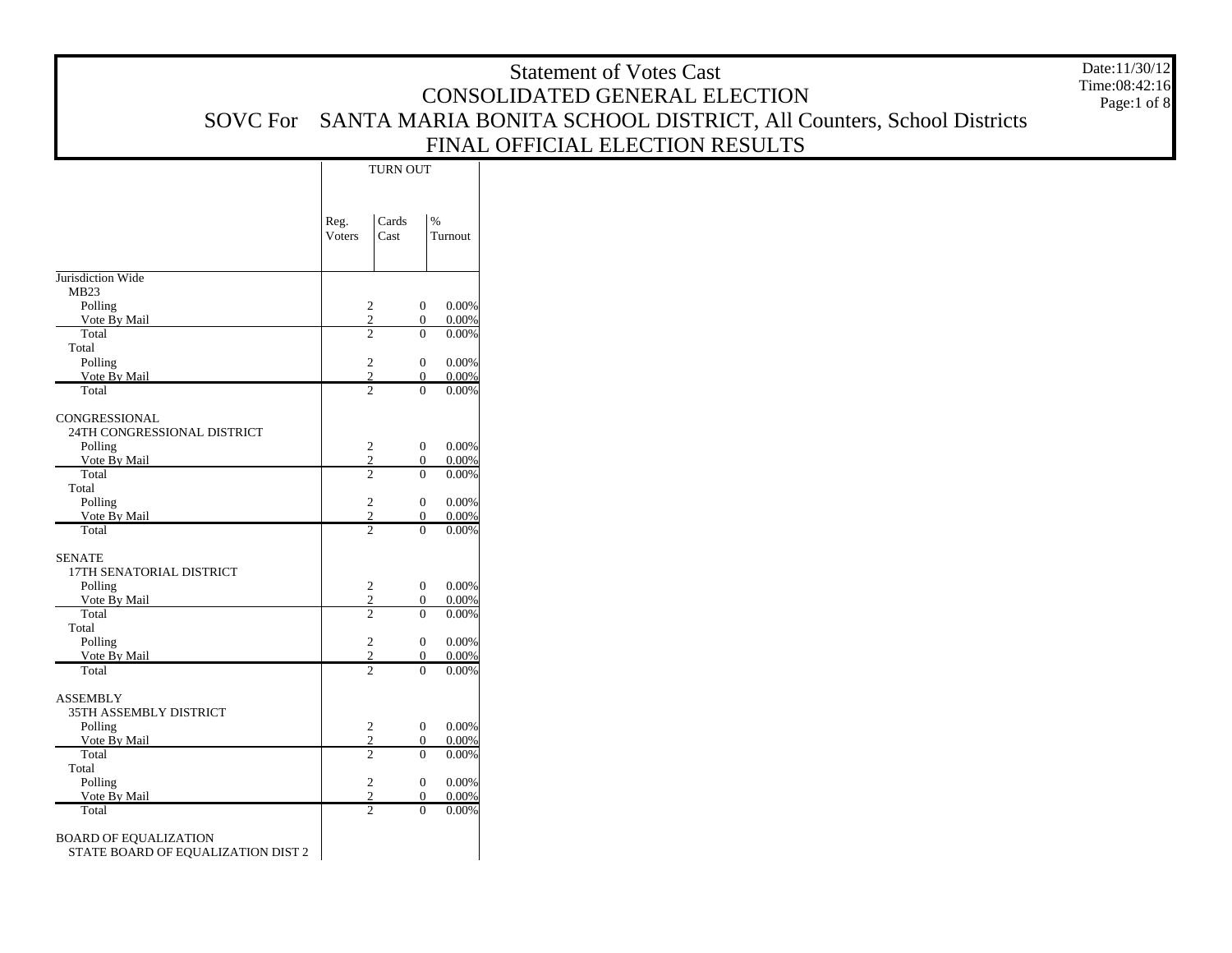|                                              |        |                                  |                                  |                | <b>Statement of Votes Cast</b>                                     | Date:11/30/12 |
|----------------------------------------------|--------|----------------------------------|----------------------------------|----------------|--------------------------------------------------------------------|---------------|
|                                              |        |                                  |                                  |                | CONSOLIDATED GENERAL ELECTION                                      | Time:08:42:16 |
| <b>SOVC</b> For                              |        |                                  |                                  |                | SANTA MARIA BONITA SCHOOL DISTRICT, All Counters, School Districts | Page:1 of 8   |
|                                              |        |                                  |                                  |                |                                                                    |               |
|                                              |        |                                  |                                  |                | FINAL OFFICIAL ELECTION RESULTS                                    |               |
|                                              |        | TURN OUT                         |                                  |                |                                                                    |               |
|                                              |        |                                  |                                  |                |                                                                    |               |
|                                              | Reg.   | Cards                            | $\%$                             |                |                                                                    |               |
|                                              | Voters | Cast                             |                                  | Turnout        |                                                                    |               |
|                                              |        |                                  |                                  |                |                                                                    |               |
| Jurisdiction Wide                            |        |                                  |                                  |                |                                                                    |               |
| MB23                                         |        |                                  |                                  |                |                                                                    |               |
| Polling                                      |        | $\sqrt{2}$<br>$\overline{2}$     | $\mathbf{0}$                     | 0.00%          |                                                                    |               |
| Vote By Mail<br>Total                        |        | $\overline{2}$                   | $\boldsymbol{0}$<br>$\mathbf{0}$ | 0.00%<br>0.00% |                                                                    |               |
| Total                                        |        |                                  |                                  |                |                                                                    |               |
| Polling<br>Vote By Mail                      |        | $\overline{2}$<br>$\overline{2}$ | $\mathbf{0}$<br>$\mathbf{0}$     | 0.00%<br>0.00% |                                                                    |               |
| Total                                        |        | $\overline{2}$                   | $\mathbf{0}$                     | 0.00%          |                                                                    |               |
|                                              |        |                                  |                                  |                |                                                                    |               |
| CONGRESSIONAL<br>24TH CONGRESSIONAL DISTRICT |        |                                  |                                  |                |                                                                    |               |
| Polling                                      |        | $\sqrt{2}$                       | $\mathbf{0}$                     | 0.00%          |                                                                    |               |
| Vote By Mail                                 |        | 2                                | $\boldsymbol{0}$                 | 0.00%          |                                                                    |               |
| Total<br>Total                               |        | $\overline{2}$                   | $\overline{0}$                   | 0.00%          |                                                                    |               |
| Polling                                      |        | $\overline{2}$                   | $\mathbf{0}$                     | 0.00%          |                                                                    |               |
| Vote By Mail                                 |        | $\overline{2}$                   | $\mathbf{0}$                     | 0.00%          |                                                                    |               |
| Total                                        |        | 2                                | $\overline{0}$                   | 0.00%          |                                                                    |               |
| <b>SENATE</b>                                |        |                                  |                                  |                |                                                                    |               |
| 17TH SENATORIAL DISTRICT                     |        |                                  |                                  |                |                                                                    |               |
| Polling<br>Vote By Mail                      |        | $\sqrt{2}$<br>2                  | $\mathbf{0}$<br>$\mathbf{0}$     | 0.00%<br>0.00% |                                                                    |               |
| Total                                        |        | $\overline{2}$                   | $\overline{0}$                   | 0.00%          |                                                                    |               |
| Total                                        |        |                                  |                                  |                |                                                                    |               |
| Polling<br>Vote By Mail                      |        | $\sqrt{2}$<br>$\mathfrak{2}$     | $\mathbf{0}$<br>$\mathbf{0}$     | 0.00%<br>0.00% |                                                                    |               |
| Total                                        |        | $\overline{c}$                   | $\mathbf{0}$                     | 0.00%          |                                                                    |               |
| <b>ASSEMBLY</b>                              |        |                                  |                                  |                |                                                                    |               |
| 35TH ASSEMBLY DISTRICT                       |        |                                  |                                  |                |                                                                    |               |
| Polling                                      |        | $\sqrt{2}$                       | $\mathbf{0}$                     | 0.00%          |                                                                    |               |
| Vote By Mail                                 |        | 2                                | $\mathbf{0}$                     | 0.00%          |                                                                    |               |
| Total<br>Total                               |        | $\overline{2}$                   | $\mathbf{0}$                     | 0.00%          |                                                                    |               |
| Polling                                      |        | $\overline{2}$                   | $\mathbf{0}$                     | 0.00%          |                                                                    |               |
| Vote By Mail                                 |        | $\overline{2}$<br>$\overline{2}$ | $\mathbf{0}$                     | 0.00%          |                                                                    |               |
| Total                                        |        |                                  | $\mathbf{0}$                     | 0.00%          |                                                                    |               |
| <b>BOARD OF EQUALIZATION</b>                 |        |                                  |                                  |                |                                                                    |               |
| STATE BOARD OF EQUALIZATION DIST 2           |        |                                  |                                  |                |                                                                    |               |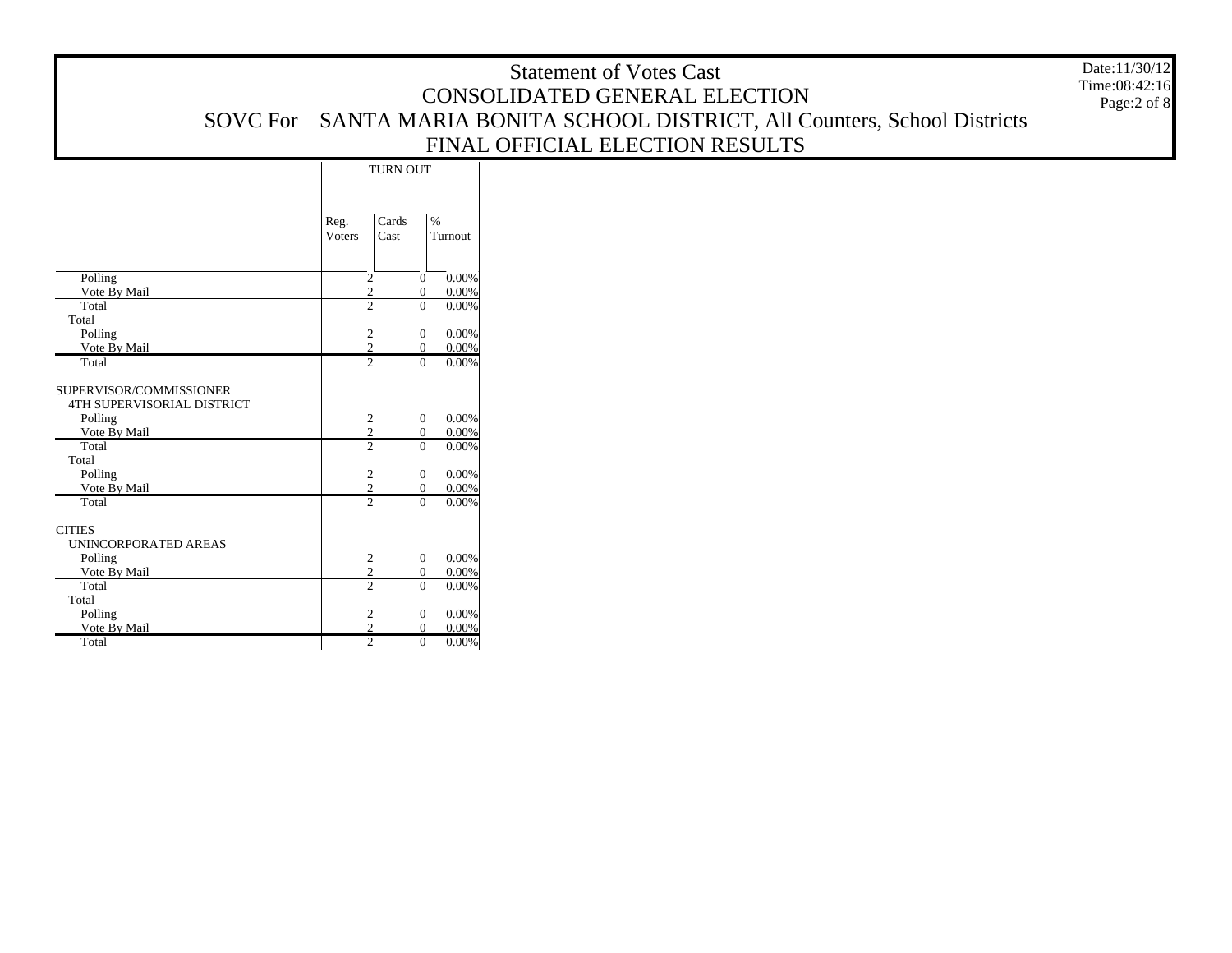|                 | <b>Statement of Votes Cast</b>                                              | Date:11/30/12                     |
|-----------------|-----------------------------------------------------------------------------|-----------------------------------|
|                 | CONSOLIDATED GENERAL ELECTION                                               | Time:08:42:16<br>Page: $2$ of $8$ |
|                 | SOVC For SANTA MARIA BONITA SCHOOL DISTRICT, All Counters, School Districts |                                   |
|                 | FINAL OFFICIAL ELECTION RESULTS                                             |                                   |
| <b>TURN OUT</b> |                                                                             |                                   |

|                                                                         | Reg.<br><b>Voters</b> | Cards<br>Cast | $\frac{0}{0}$<br>Turnout                   |
|-------------------------------------------------------------------------|-----------------------|---------------|--------------------------------------------|
| Polling                                                                 | $\overline{c}$        |               | 0.00%<br>$\Omega$                          |
| Vote By Mail                                                            | $\overline{2}$        |               | 0.00%<br>$\overline{0}$                    |
| Total                                                                   | $\overline{2}$        |               | $\Omega$<br>0.00%                          |
| Total                                                                   |                       |               |                                            |
| Polling                                                                 | $\boldsymbol{2}$      |               | 0.00%<br>$\mathbf{0}$                      |
| Vote By Mail                                                            | $\overline{2}$        |               | $0.00\%$<br>$\overline{0}$                 |
| Total                                                                   | $\overline{2}$        |               | 0.00%<br>$\theta$                          |
| SUPERVISOR/COMMISSIONER<br><b>4TH SUPERVISORIAL DISTRICT</b><br>Polling | $\sqrt{2}$            |               | 0.00%<br>$\mathbf{0}$                      |
| Vote By Mail                                                            | $\frac{2}{2}$         |               | $0.00\%$<br>$\overline{0}$                 |
| Total<br>Total<br>Polling                                               | $\boldsymbol{2}$      |               | $\Omega$<br>0.00%<br>0.00%<br>$\mathbf{0}$ |
| Vote By Mail                                                            | $\overline{2}$        |               | 0.00%<br>$\theta$                          |
| Total                                                                   | $\overline{2}$        |               | $\theta$<br>0.00%                          |
| <b>CITIES</b><br>UNINCORPORATED AREAS                                   |                       |               |                                            |
| Polling                                                                 | $\boldsymbol{2}$      |               | 0.00%<br>$\mathbf{0}$                      |
| Vote By Mail                                                            | $\frac{2}{2}$         |               | $0.00\%$<br>$\overline{0}$                 |
| Total<br>Total                                                          |                       |               | $\theta$<br>0.00%                          |
| Polling                                                                 | $\boldsymbol{2}$      |               | 0.00%<br>$\overline{0}$                    |
| Vote By Mail                                                            | $\overline{2}$        |               | $0.00\%$<br>$\overline{0}$                 |
| Total                                                                   | $\overline{2}$        |               | $\theta$<br>$0.00\%$                       |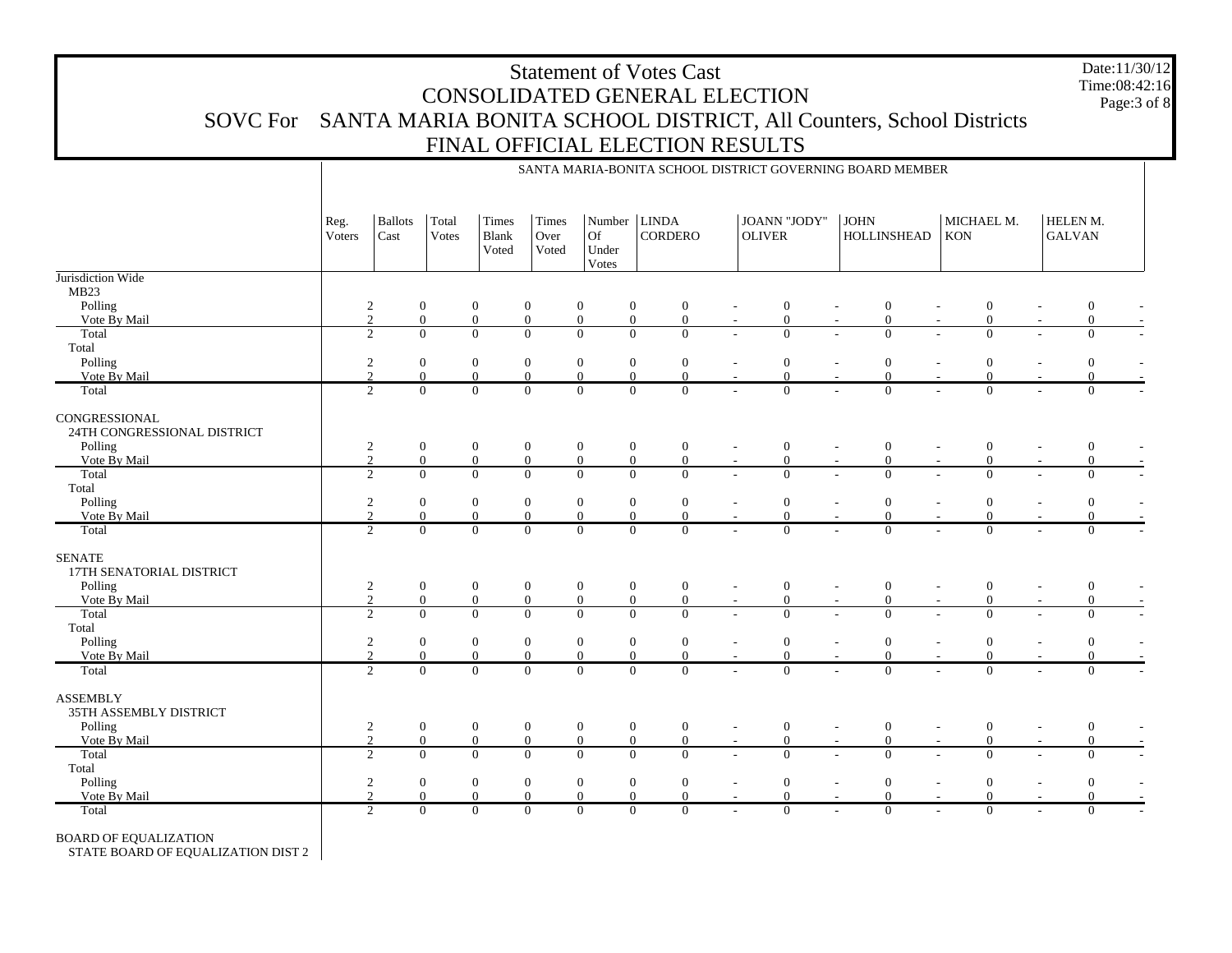Date:11/30/12 Time:08:42:16Page:3 of 8

|                                                      |                              |                        |                      |                          |                            |                                |                         |                            |                          |                                |                          | SANTA MARIA-BONITA SCHOOL DISTRICT GOVERNING BOARD MEMBER |                          |                            |                           |                  |
|------------------------------------------------------|------------------------------|------------------------|----------------------|--------------------------|----------------------------|--------------------------------|-------------------------|----------------------------|--------------------------|--------------------------------|--------------------------|-----------------------------------------------------------|--------------------------|----------------------------|---------------------------|------------------|
|                                                      | Reg.<br>Voters               | <b>Ballots</b><br>Cast | Total<br>Votes       | Times<br>Blank<br>Voted  | Times<br>Over<br>Voted     | Number<br>Of<br>Under<br>Votes | <b>LINDA</b><br>CORDERO |                            | <b>OLIVER</b>            | <b>JOANN "JODY"</b>            | <b>JOHN</b>              | HOLLINSHEAD                                               | MICHAEL M.<br><b>KON</b> |                            | HELEN M.<br><b>GALVAN</b> |                  |
| Jurisdiction Wide<br>MB <sub>23</sub>                |                              |                        |                      |                          |                            |                                |                         |                            |                          |                                |                          |                                                           |                          |                            |                           |                  |
| Polling                                              | $\overline{c}$               |                        | $\boldsymbol{0}$     | $\boldsymbol{0}$         | $\boldsymbol{0}$           | $\overline{0}$                 | $\boldsymbol{0}$        | $\boldsymbol{0}$           | $\overline{\phantom{a}}$ | $\boldsymbol{0}$               | $\overline{\phantom{a}}$ | $\boldsymbol{0}$<br>$\overline{a}$                        |                          | $\boldsymbol{0}$           |                           | $\boldsymbol{0}$ |
| Vote By Mail                                         | $\overline{2}$               |                        | $\overline{0}$       | $\mathbf{0}$             | $\mathbf{0}$               | $\overline{0}$                 | $\overline{0}$          | $\overline{0}$             | $\overline{\phantom{a}}$ | $\boldsymbol{0}$               |                          | $\Omega$                                                  |                          | $\overline{0}$             |                           | $\overline{0}$   |
| Total                                                | 2                            |                        | $\Omega$             | $\overline{0}$           | $\overline{0}$             | $\Omega$                       | $\Omega$                | $\theta$                   |                          | $\overline{0}$                 |                          | $\Omega$                                                  |                          | $\overline{0}$             |                           | $\Omega$         |
| Total                                                |                              |                        |                      |                          |                            |                                |                         |                            |                          |                                |                          |                                                           |                          |                            |                           |                  |
| Polling                                              | $\sqrt{2}$                   |                        | $\boldsymbol{0}$     | $\boldsymbol{0}$         | $\mathbf{0}$               | $\mathbf{0}$                   | $\mathbf{0}$            | $\boldsymbol{0}$           | $\sim$                   | $\boldsymbol{0}$               | $\overline{\phantom{a}}$ | $\boldsymbol{0}$                                          | $\sim$                   | $\boldsymbol{0}$           |                           | $\mathbf{0}$     |
| Vote By Mail                                         | $\overline{2}$               |                        | $\mathbf{0}$         | $\overline{0}$           | $\mathbf{0}$               | $\mathbf{0}$                   | $\Omega$                | $\overline{0}$             |                          | $\mathbf{0}$                   |                          | $\Omega$                                                  |                          | $\overline{0}$             |                           | $\Omega$         |
| Total                                                | 2                            |                        | $\overline{0}$       | $\overline{0}$           | $\overline{0}$             | $\Omega$                       | $\Omega$                | $\Omega$                   |                          | $\overline{0}$                 |                          | $\Omega$                                                  |                          | $\overline{0}$             |                           | $\overline{0}$   |
| CONGRESSIONAL<br>24TH CONGRESSIONAL DISTRICT         |                              |                        |                      |                          |                            |                                |                         |                            |                          |                                |                          |                                                           |                          |                            |                           |                  |
| Polling                                              | $\overline{2}$               |                        | $\boldsymbol{0}$     | $\boldsymbol{0}$         | $\mathbf{0}$               | $\boldsymbol{0}$               | $\overline{0}$          | $\boldsymbol{0}$           | $\blacksquare$           | $\boldsymbol{0}$               |                          | $\boldsymbol{0}$                                          |                          | $\boldsymbol{0}$           |                           | $\boldsymbol{0}$ |
| Vote By Mail                                         | 2                            |                        | $\boldsymbol{0}$     | $\mathbf{0}$             | $\mathbf{0}$               | $\boldsymbol{0}$               | $\mathbf{0}$            | $\boldsymbol{0}$           | $\sim$                   | $\boldsymbol{0}$               |                          | $\overline{0}$                                            |                          | $\boldsymbol{0}$           |                           | $\overline{0}$   |
| Total                                                | $\overline{2}$               |                        | $\overline{0}$       | $\overline{0}$           | $\overline{0}$             | $\overline{0}$                 | $\Omega$                | $\overline{0}$             |                          | $\overline{0}$                 |                          | $\Omega$                                                  |                          | $\overline{0}$             |                           | $\Omega$         |
| Total                                                |                              |                        |                      |                          |                            |                                |                         |                            |                          |                                |                          |                                                           |                          |                            |                           |                  |
| Polling                                              | $\sqrt{2}$<br>$\overline{c}$ |                        | $\mathbf{0}$         | $\boldsymbol{0}$         | $\boldsymbol{0}$           | $\boldsymbol{0}$               | $\mathbf{0}$            | $\boldsymbol{0}$           | $\overline{\phantom{a}}$ | $\boldsymbol{0}$               |                          | $\mathbf{0}$<br>$\overline{\phantom{a}}$                  |                          | $\boldsymbol{0}$           |                           | $\overline{0}$   |
| Vote By Mail<br>Total                                | $\overline{2}$               |                        | $\Omega$<br>$\Omega$ | $\Omega$<br>$\mathbf{0}$ | $\Omega$<br>$\overline{0}$ | $\Omega$<br>$\Omega$           | $\Omega$<br>$\Omega$    | $\Omega$<br>$\overline{0}$ |                          | $\mathbf{0}$<br>$\overline{0}$ |                          | $\Omega$<br>$\Omega$                                      |                          | $\Omega$<br>$\overline{0}$ |                           | $\Omega$         |
|                                                      |                              |                        |                      |                          |                            |                                |                         |                            |                          |                                |                          |                                                           |                          |                            |                           | $\overline{0}$   |
| <b>SENATE</b><br>17TH SENATORIAL DISTRICT<br>Polling | $\overline{c}$               |                        | $\boldsymbol{0}$     | $\boldsymbol{0}$         | $\boldsymbol{0}$           | $\mathbf{0}$                   | $\mathbf{0}$            | $\boldsymbol{0}$           |                          | $\boldsymbol{0}$               |                          | $\boldsymbol{0}$                                          |                          | $\boldsymbol{0}$           |                           | $\boldsymbol{0}$ |
| Vote By Mail                                         | $\overline{2}$               |                        | $\overline{0}$       | $\mathbf{0}$             | $\mathbf{0}$               | $\boldsymbol{0}$               | $\overline{0}$          | $\mathbf{0}$               | $\overline{\phantom{a}}$ | $\mathbf{0}$                   | $\overline{\phantom{a}}$ | $\overline{0}$                                            |                          | $\overline{0}$             |                           | $\overline{0}$   |
| Total                                                | $\overline{2}$               |                        | $\overline{0}$       | $\overline{0}$           | $\overline{0}$             | $\overline{0}$                 | $\overline{0}$          | $\overline{0}$             |                          | $\overline{0}$                 |                          | $\overline{0}$                                            |                          | $\overline{0}$             |                           | $\Omega$         |
| Total                                                |                              |                        |                      |                          |                            |                                |                         |                            |                          |                                |                          |                                                           |                          |                            |                           |                  |
| Polling                                              | $\sqrt{2}$                   |                        | $\mathbf{0}$         | $\boldsymbol{0}$         | $\boldsymbol{0}$           | $\boldsymbol{0}$               | $\overline{0}$          | $\boldsymbol{0}$           | $\overline{\phantom{a}}$ | $\boldsymbol{0}$               | $\overline{\phantom{a}}$ | $\mathbf{0}$                                              | $\overline{\phantom{a}}$ | $\boldsymbol{0}$           |                           | $\overline{0}$   |
| Vote By Mail                                         | $\overline{2}$               |                        | $\Omega$             | $\mathbf{0}$             | $\overline{0}$             | $\overline{0}$                 | $\overline{0}$          | $\overline{0}$             | $\sim$                   | $\mathbf{0}$                   |                          | $\Omega$                                                  |                          | $\overline{0}$             |                           | $\Omega$         |
| Total                                                | $\overline{2}$               |                        | $\Omega$             | $\overline{0}$           | $\overline{0}$             | $\Omega$                       | $\overline{0}$          | $\overline{0}$             |                          | $\overline{0}$                 |                          | $\Omega$                                                  |                          | $\overline{0}$             |                           | $\Omega$         |
| <b>ASSEMBLY</b><br>35TH ASSEMBLY DISTRICT            |                              |                        |                      |                          |                            |                                |                         |                            |                          |                                |                          |                                                           |                          |                            |                           |                  |
| Polling                                              | $\sqrt{2}$                   |                        | $\mathbf{0}$         | $\boldsymbol{0}$         | $\boldsymbol{0}$           | $\mathbf{0}$                   | $\mathbf{0}$            | $\boldsymbol{0}$           |                          | $\boldsymbol{0}$               |                          | $\boldsymbol{0}$                                          |                          | $\boldsymbol{0}$           |                           | $\boldsymbol{0}$ |
| Vote By Mail                                         | $\overline{2}$               |                        | $\overline{0}$       | $\boldsymbol{0}$         | $\mathbf{0}$               | $\mathbf{0}$                   | $\overline{0}$          | $\overline{0}$             | $\overline{\phantom{a}}$ | $\boldsymbol{0}$               |                          | $\Omega$                                                  |                          | $\overline{0}$             |                           | $\Omega$         |
| Total                                                | 2                            |                        | $\Omega$             | $\mathbf{0}$             | $\mathbf{0}$               | $\Omega$                       | $\mathbf{0}$            | $\Omega$                   |                          | $\mathbf{0}$                   |                          | $\Omega$                                                  |                          | $\overline{0}$             |                           | $\overline{0}$   |
| Total                                                |                              |                        |                      |                          |                            |                                |                         |                            |                          |                                |                          |                                                           |                          |                            |                           |                  |
| Polling                                              | $\overline{c}$               |                        | $\mathbf{0}$         | $\boldsymbol{0}$         | $\boldsymbol{0}$           | $\boldsymbol{0}$               | $\boldsymbol{0}$        | $\boldsymbol{0}$           | $\sim$                   | $\boldsymbol{0}$               |                          | $\boldsymbol{0}$                                          |                          | $\boldsymbol{0}$           |                           | $\boldsymbol{0}$ |
| Vote By Mail                                         | 2                            |                        | $\mathbf{0}$         | $\boldsymbol{0}$         | $\mathbf{0}$               | $\mathbf{0}$                   | $\mathbf{0}$            | $\boldsymbol{0}$           | $\sim$                   | $\boldsymbol{0}$               |                          | $\overline{0}$                                            |                          | $\overline{0}$             |                           | $\overline{0}$   |
| Total                                                | 2                            |                        | $\overline{0}$       | $\overline{0}$           | $\overline{0}$             | $\overline{0}$                 | $\overline{0}$          | $\overline{0}$             |                          | $\overline{0}$                 |                          | $\overline{0}$                                            |                          | $\overline{0}$             |                           | $\overline{0}$   |

BOARD OF EQUALIZATION

STATE BOARD OF EQUALIZATION DIST 2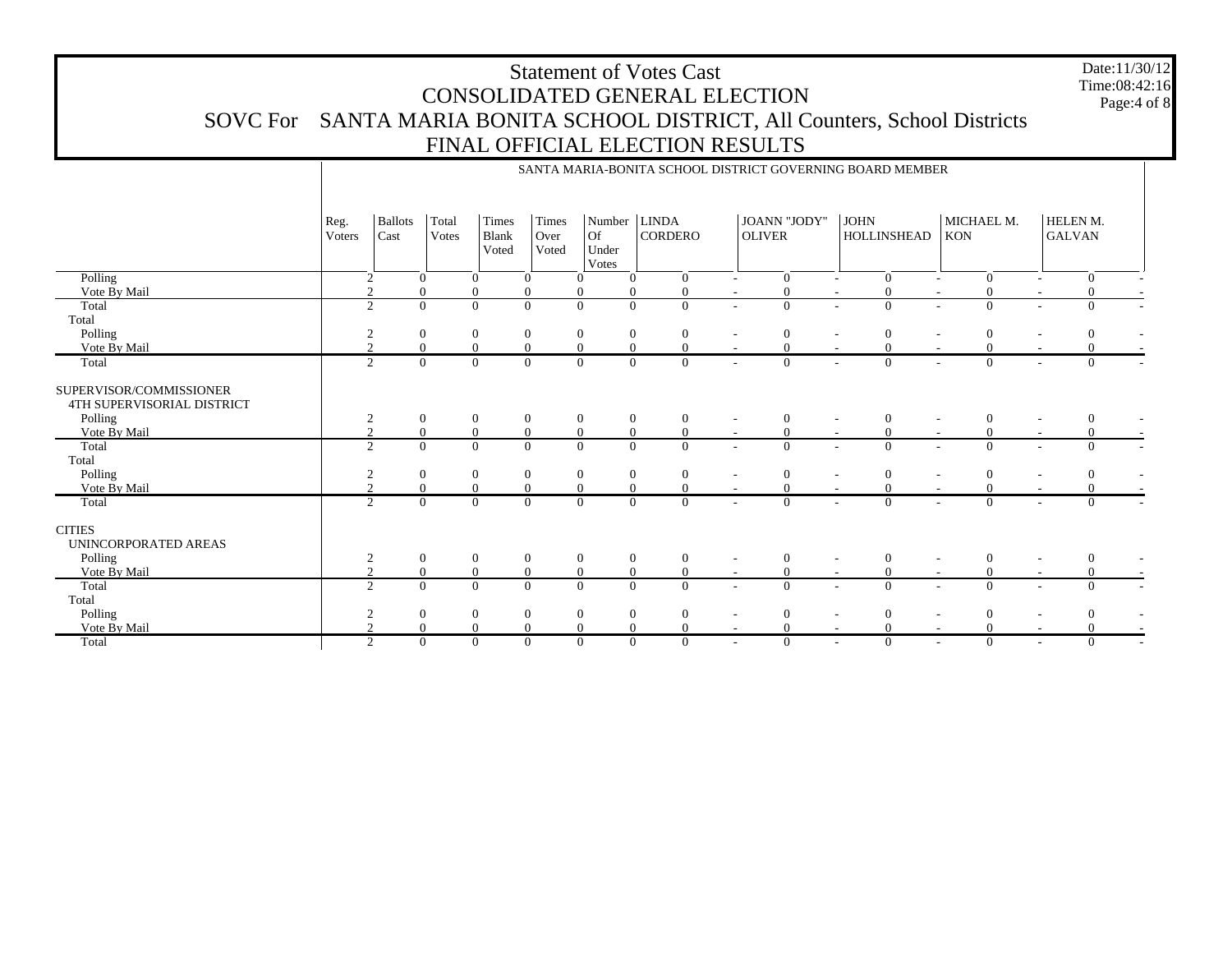Date:11/30/12 Time:08:42:16Page:4 of 8

|                                                                  |                       |                        |                |                         |                        |                                |                                  |                          |                               | SANTA MARIA-BONITA SCHOOL DISTRICT GOVERNING BOARD MEMBER |                                            |                                      |
|------------------------------------------------------------------|-----------------------|------------------------|----------------|-------------------------|------------------------|--------------------------------|----------------------------------|--------------------------|-------------------------------|-----------------------------------------------------------|--------------------------------------------|--------------------------------------|
|                                                                  | Reg.<br><b>Voters</b> | <b>Ballots</b><br>Cast | Total<br>Votes | Times<br>Blank<br>Voted | Times<br>Over<br>Voted | Number<br>Of<br>Under<br>Votes | <b>LINDA</b><br><b>CORDERO</b>   |                          | JOANN "JODY"<br><b>OLIVER</b> | <b>JOHN</b><br><b>HOLLINSHEAD</b>                         | MICHAEL M.<br><b>KON</b>                   | HELEN M.<br><b>GALVAN</b>            |
| Polling                                                          | $\overline{2}$        |                        | $\Omega$       | $\theta$                | $\mathbf{0}$           | $\Omega$                       | $\Omega$<br>$\overline{0}$       | $\overline{\phantom{a}}$ | $\mathbf{0}$                  | $\theta$                                                  | $\mathbf{0}$<br>$\sim$                     | $\overline{0}$                       |
| Vote By Mail                                                     | $\mathfrak{D}$        |                        | $\Omega$       | $\mathbf{0}$            | $\overline{0}$         | $\Omega$                       | $\mathbf{0}$                     |                          | $\overline{0}$                |                                                           | $\mathbf{0}$                               |                                      |
| Total                                                            | $\overline{2}$        |                        | $\Omega$       | $\overline{0}$          | $\overline{0}$         | $\Omega$                       | $\Omega$<br>$\Omega$             | $\overline{a}$           | $\theta$                      | $\Omega$                                                  | $\Omega$                                   | $\Omega$                             |
| Total                                                            |                       |                        |                |                         |                        |                                |                                  |                          |                               |                                                           |                                            |                                      |
| Polling                                                          | 2                     |                        | $\mathbf{0}$   | $\mathbf{0}$            | $\boldsymbol{0}$       | $\overline{0}$                 | $\mathbf{0}$<br>$\mathbf{0}$     |                          | $\mathbf{0}$                  | $\theta$                                                  | $\boldsymbol{0}$                           | $\theta$                             |
| Vote By Mail                                                     |                       |                        | $\Omega$       | $\mathbf{0}$            | $\mathbf{0}$           | $\Omega$                       | $\Omega$<br>$\Omega$             |                          | $\Omega$                      |                                                           |                                            | $\Omega$                             |
| Total                                                            | 2                     |                        | $\Omega$       | $\theta$                | $\overline{0}$         | $\Omega$                       | $\theta$<br>$\Omega$             |                          | $\Omega$                      | $\Omega$                                                  | $\Omega$                                   | $\Omega$                             |
| SUPERVISOR/COMMISSIONER<br>4TH SUPERVISORIAL DISTRICT<br>Polling | $\overline{2}$        |                        | $\mathbf{0}$   | $\boldsymbol{0}$        | $\boldsymbol{0}$       | $\mathbf{0}$                   | $\mathbf{0}$<br>$\mathbf{0}$     |                          | $\mathbf{0}$                  | $\theta$                                                  | $\mathbf{0}$                               | $\mathbf{0}$                         |
| Vote By Mail                                                     | $\gamma$              |                        | $\overline{0}$ | $\mathbf{0}$            | $\mathbf{0}$           | $\overline{0}$                 | $\mathbf{0}$<br>$\overline{0}$   | $\sim$                   | $\mathbf{0}$                  | $\mathbf{0}$                                              | $\mathbf{0}$                               |                                      |
| Total<br>Total                                                   | 2                     |                        | $\overline{0}$ | $\overline{0}$          | $\overline{0}$         | $\overline{0}$                 | $\overline{0}$<br>$\Omega$       | $\overline{a}$           | $\overline{0}$                | $\Omega$                                                  | $\overline{0}$                             | $\Omega$                             |
| Polling                                                          | 2                     |                        | $\overline{0}$ | $\mathbf{0}$            | $\mathbf{0}$           | $\Omega$                       | $\theta$<br>$\overline{0}$       |                          | $\mathbf{0}$                  | $\Omega$                                                  | $\mathbf{0}$                               |                                      |
| Vote By Mail                                                     |                       |                        | $\overline{0}$ | $\mathbf{0}$            | $\mathbf{0}$           |                                | $\Omega$                         |                          | $\mathbf{0}$                  |                                                           |                                            |                                      |
| Total                                                            | 2                     |                        | $\Omega$       | $\Omega$                | $\overline{0}$         | $\Omega$                       | $\Omega$<br>$\Omega$             |                          | $\theta$                      | $\Omega$                                                  | $\Omega$                                   | $\Omega$                             |
| <b>CITIES</b><br>UNINCORPORATED AREAS                            |                       |                        |                |                         |                        |                                |                                  |                          |                               |                                                           |                                            |                                      |
| Polling                                                          | 2                     |                        | $\mathbf{0}$   | $\mathbf{0}$            | $\mathbf{0}$           | $\mathbf{0}$                   | $\mathbf{0}$<br>$\mathbf{0}$     | $\overline{\phantom{a}}$ | $\mathbf{0}$                  | $\theta$                                                  | $\mathbf{0}$                               | $\overline{0}$                       |
| Vote By Mail                                                     | 2                     |                        | $\overline{0}$ | $\mathbf{0}$            | $\overline{0}$         | $\overline{0}$                 | $\Omega$<br>$\theta$             | $\sim$                   | $\overline{0}$                | $\Omega$                                                  | $\theta$<br>$\sim$                         | $\Omega$                             |
| Total<br>Total                                                   | $\overline{2}$        |                        | $\overline{0}$ | $\mathbf{0}$            | $\overline{0}$         | $\overline{0}$                 | $\overline{0}$<br>$\overline{0}$ |                          | $\overline{0}$                | $\Omega$                                                  | $\overline{0}$                             | $\Omega$                             |
| Polling                                                          | 2                     |                        | $\overline{0}$ | $\boldsymbol{0}$        | $\boldsymbol{0}$       | $\overline{0}$                 | $\mathbf{0}$<br>$\overline{0}$   |                          | $\boldsymbol{0}$              | $\Omega$                                                  | $\Omega$                                   |                                      |
| Vote By Mail                                                     |                       |                        | $\Omega$       | $\theta$                | $\mathbf{0}$           | $\Omega$                       | $\Omega$                         |                          | $\Omega$                      |                                                           |                                            |                                      |
| Total                                                            | 2                     |                        | $\overline{0}$ | $\theta$                | $\overline{0}$         | $\Omega$                       | $\overline{0}$<br>$\overline{0}$ | $\overline{\phantom{a}}$ | $\overline{0}$                | $\theta$<br>$\sim$                                        | $\overline{0}$<br>$\overline{\phantom{a}}$ | $\Omega$<br>$\overline{\phantom{a}}$ |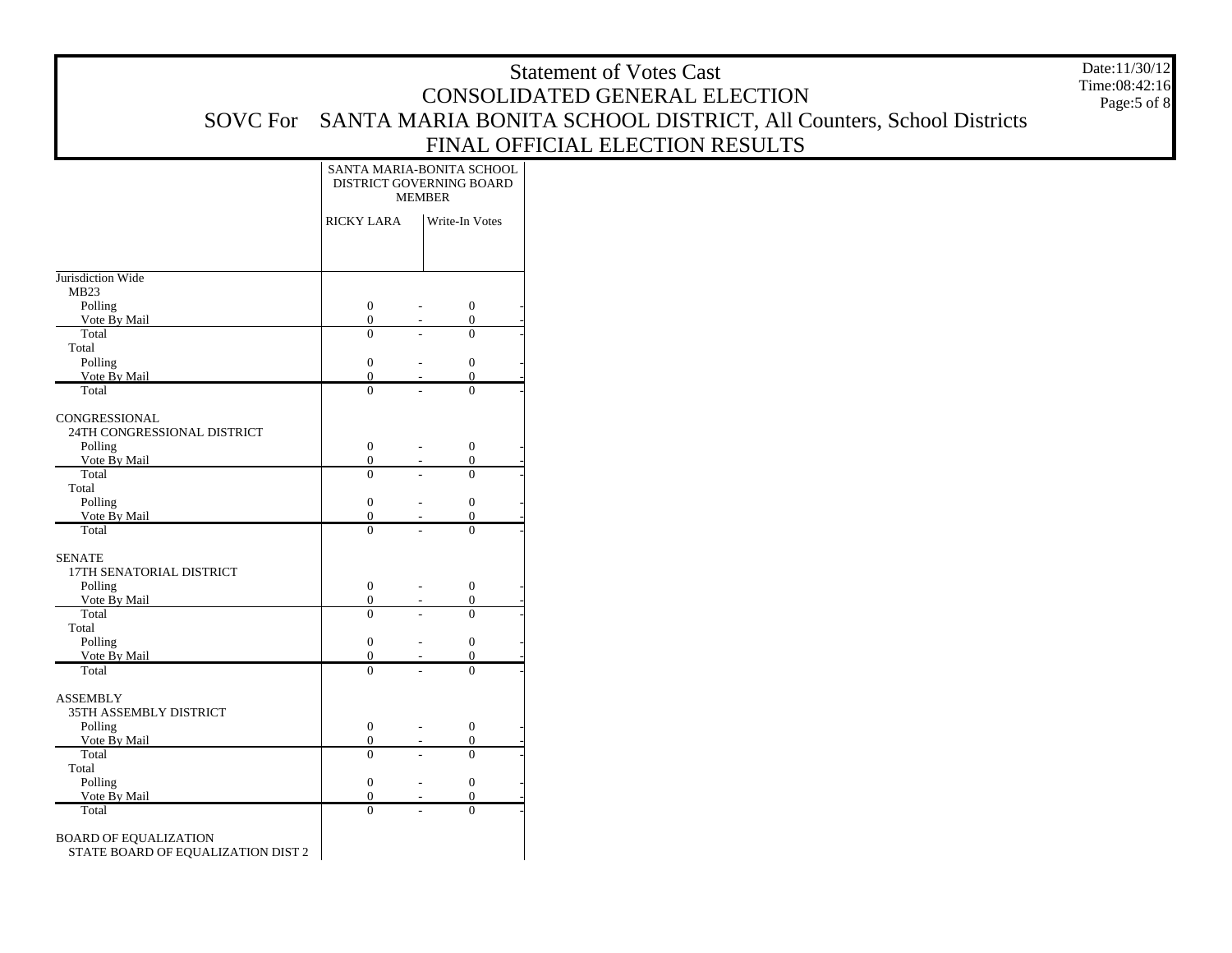|                                     |                                |                                  | <b>Statement of Votes Cast</b>                                     | Date:11/30/12                |
|-------------------------------------|--------------------------------|----------------------------------|--------------------------------------------------------------------|------------------------------|
|                                     |                                |                                  | CONSOLIDATED GENERAL ELECTION                                      | Time:08:42:16<br>Page:5 of 8 |
| <b>SOVC</b> For                     |                                |                                  | SANTA MARIA BONITA SCHOOL DISTRICT, All Counters, School Districts |                              |
|                                     |                                |                                  | FINAL OFFICIAL ELECTION RESULTS                                    |                              |
|                                     |                                | SANTA MARIA-BONITA SCHOOL        |                                                                    |                              |
|                                     |                                | DISTRICT GOVERNING BOARD         |                                                                    |                              |
|                                     |                                | <b>MEMBER</b>                    |                                                                    |                              |
|                                     | <b>RICKY LARA</b>              | Write-In Votes                   |                                                                    |                              |
|                                     |                                |                                  |                                                                    |                              |
|                                     |                                |                                  |                                                                    |                              |
| Jurisdiction Wide                   |                                |                                  |                                                                    |                              |
| MB23<br>Polling                     | $\boldsymbol{0}$               | $\mathbf{0}$                     |                                                                    |                              |
| Vote By Mail                        | $\mathbf{0}$                   | $\overline{0}$                   |                                                                    |                              |
| Total                               | $\Omega$                       | $\overline{0}$                   |                                                                    |                              |
| Total<br>Polling                    | $\overline{0}$                 | $\boldsymbol{0}$                 |                                                                    |                              |
| Vote By Mail                        | $\Omega$                       | $\Omega$                         |                                                                    |                              |
| Total                               | $\overline{0}$                 | $\overline{0}$                   |                                                                    |                              |
| CONGRESSIONAL                       |                                |                                  |                                                                    |                              |
| 24TH CONGRESSIONAL DISTRICT         |                                |                                  |                                                                    |                              |
| Polling                             | $\mathbf{0}$                   | $\boldsymbol{0}$                 |                                                                    |                              |
| Vote By Mail<br>Total               | $\mathbf{0}$<br>$\overline{0}$ | $\overline{0}$<br>$\overline{0}$ |                                                                    |                              |
| Total                               |                                |                                  |                                                                    |                              |
| Polling                             | $\mathbf{0}$                   | $\boldsymbol{0}$                 |                                                                    |                              |
| Vote By Mail<br>Total               | $\overline{0}$<br>$\Omega$     | $\overline{0}$<br>$\overline{0}$ |                                                                    |                              |
|                                     |                                |                                  |                                                                    |                              |
| <b>SENATE</b>                       |                                |                                  |                                                                    |                              |
| 17TH SENATORIAL DISTRICT<br>Polling | $\mathbf{0}$                   | $\overline{0}$                   |                                                                    |                              |
| Vote By Mail                        | $\mathbf{0}$                   | $\overline{0}$                   |                                                                    |                              |
| Total                               | $\overline{0}$                 | $\overline{0}$                   |                                                                    |                              |
| Total<br>Polling                    | $\mathbf{0}$                   | $\boldsymbol{0}$                 |                                                                    |                              |
| Vote By Mail                        | $\overline{0}$                 | $\Omega$                         |                                                                    |                              |
| Total                               | $\overline{0}$                 | $\overline{0}$                   |                                                                    |                              |
| <b>ASSEMBLY</b>                     |                                |                                  |                                                                    |                              |
| 35TH ASSEMBLY DISTRICT              |                                |                                  |                                                                    |                              |
| Polling                             | $\mathbf{0}$                   | $\boldsymbol{0}$                 |                                                                    |                              |
| Vote By Mail                        | $\mathbf{0}$                   | $\overline{0}$                   |                                                                    |                              |
| Total<br>Total                      | $\Omega$                       | $\overline{0}$                   |                                                                    |                              |
| Polling                             | $\mathbf{0}$                   | $\boldsymbol{0}$                 |                                                                    |                              |
| Vote By Mail                        | $\overline{0}$                 | $\overline{0}$                   |                                                                    |                              |
| Total                               | $\overline{0}$                 | $\overline{0}$                   |                                                                    |                              |
| <b>BOARD OF EQUALIZATION</b>        |                                |                                  |                                                                    |                              |
| STATE BOARD OF EQUALIZATION DIST 2  |                                |                                  |                                                                    |                              |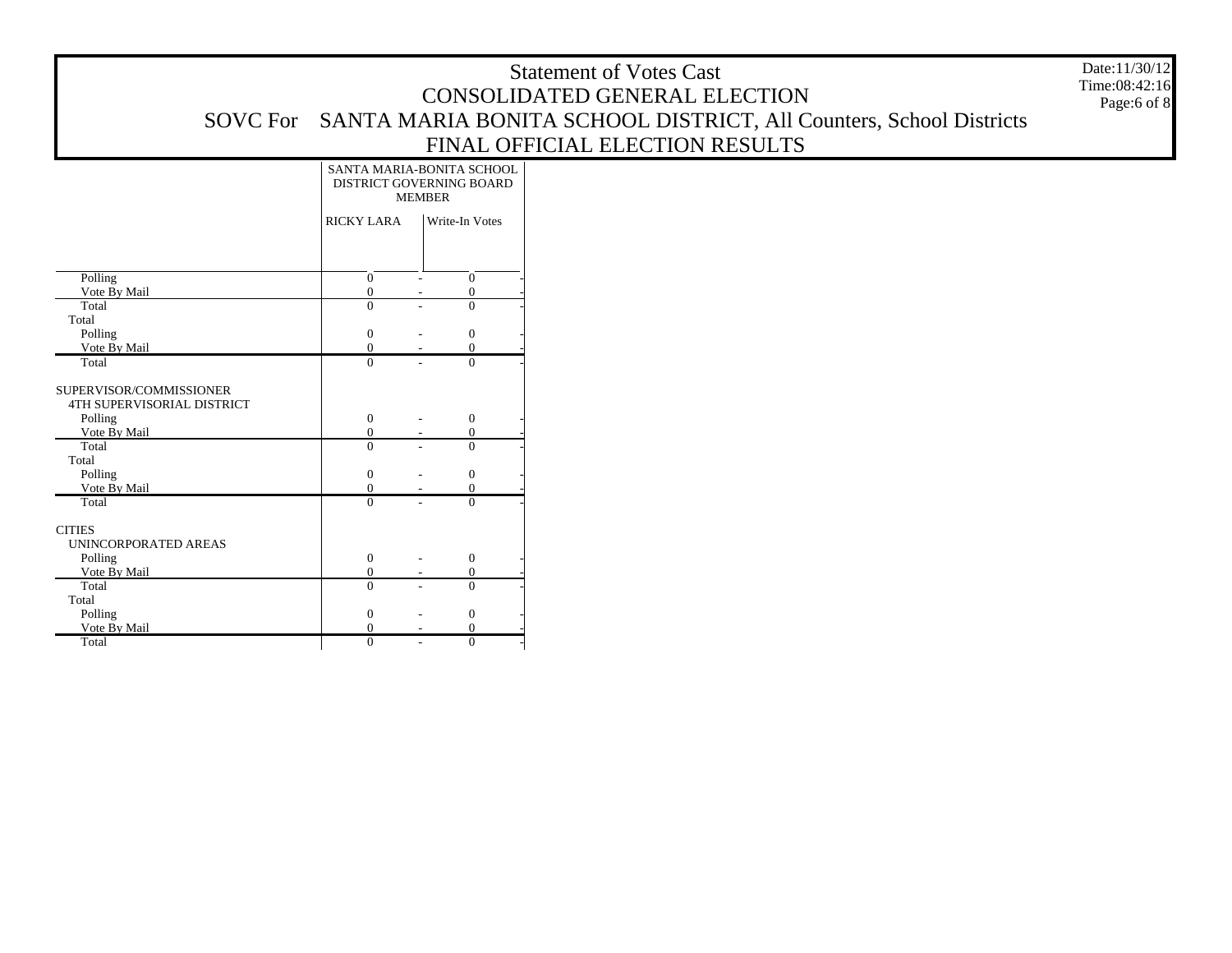Page:6 of 8

|                                                              | SANTA MARIA-BONITA SCHOOL<br>DISTRICT GOVERNING BOARD<br><b>MEMBER</b> |                |                      |
|--------------------------------------------------------------|------------------------------------------------------------------------|----------------|----------------------|
|                                                              | <b>RICKY LARA</b>                                                      |                | Write-In Votes       |
|                                                              |                                                                        |                |                      |
| Polling                                                      | $\overline{0}$                                                         |                | $\overline{0}$       |
| Vote By Mail                                                 | $\overline{0}$                                                         |                | $\overline{0}$       |
| Total                                                        | $\theta$                                                               |                | $\theta$             |
| Total                                                        |                                                                        |                |                      |
| Polling                                                      | $\mathbf{0}$                                                           |                | $\mathbf{0}$         |
| Vote By Mail<br>Total                                        | $\theta$<br>$\theta$                                                   |                | $\theta$<br>$\Omega$ |
|                                                              |                                                                        |                |                      |
| SUPERVISOR/COMMISSIONER<br><b>4TH SUPERVISORIAL DISTRICT</b> |                                                                        |                |                      |
| Polling                                                      | $\mathbf{0}$                                                           |                | $\mathbf{0}$         |
| Vote By Mail                                                 | $\overline{0}$                                                         |                | $\mathbf{0}$         |
| Total                                                        | $\theta$                                                               |                | $\Omega$             |
| Total                                                        |                                                                        |                |                      |
| Polling                                                      | $\boldsymbol{0}$                                                       |                | $\mathbf{0}$         |
| Vote By Mail                                                 | $\overline{0}$                                                         |                | $\overline{0}$       |
| Total                                                        | $\theta$                                                               |                | $\theta$             |
| <b>CITIES</b><br>UNINCORPORATED AREAS                        |                                                                        |                |                      |
| Polling                                                      | $\overline{0}$                                                         |                | $\mathbf{0}$         |
| Vote By Mail                                                 | $\overline{0}$                                                         |                | $\overline{0}$       |
| Total                                                        | $\theta$                                                               |                | $\theta$             |
| Total                                                        |                                                                        |                |                      |
| Polling                                                      | $\overline{0}$                                                         |                | $\mathbf{0}$         |
| Vote By Mail                                                 | $\overline{0}$                                                         |                | $\Omega$             |
| Total                                                        | $\overline{0}$                                                         | $\overline{a}$ | $\overline{0}$       |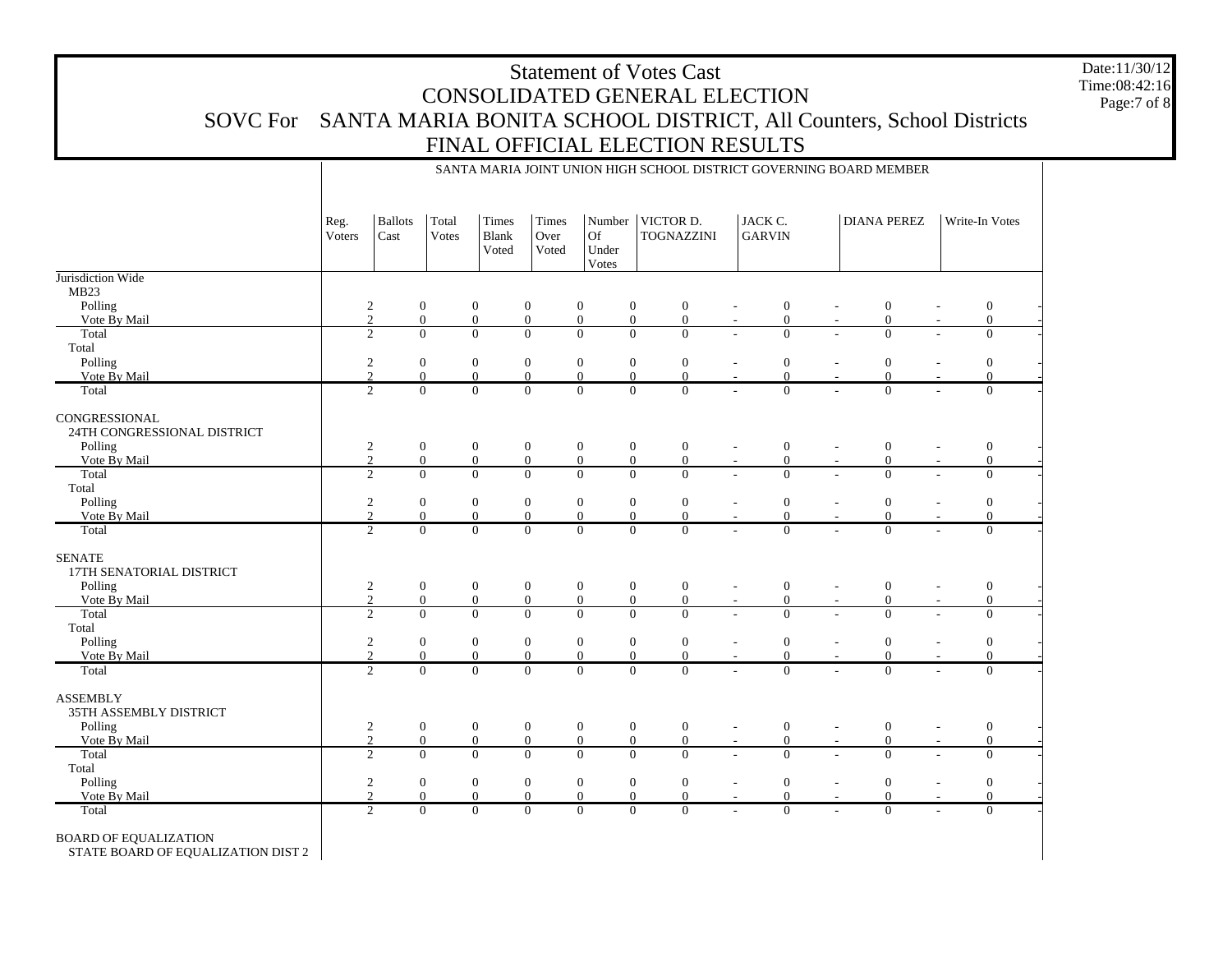Date:11/30/12 Time:08:42:16Page:7 of 8

|                                                      |                |                        |                                  |                                  |                                      |                                      | SANTA MARIA JOINT UNION HIGH SCHOOL DISTRICT GOVERNING BOARD MEMBER          |                          |                                  |                          |                                    |                                    |  |
|------------------------------------------------------|----------------|------------------------|----------------------------------|----------------------------------|--------------------------------------|--------------------------------------|------------------------------------------------------------------------------|--------------------------|----------------------------------|--------------------------|------------------------------------|------------------------------------|--|
|                                                      | Reg.<br>Voters | <b>Ballots</b><br>Cast | Total<br>Votes                   | Times<br><b>Blank</b><br>Voted   | Times<br>Over<br>Voted               | Of<br>Under<br>Votes                 | Number   VICTOR D.<br><b>TOGNAZZINI</b>                                      |                          | JACK C.<br><b>GARVIN</b>         |                          | <b>DIANA PEREZ</b>                 | Write-In Votes                     |  |
| Jurisdiction Wide                                    |                |                        |                                  |                                  |                                      |                                      |                                                                              |                          |                                  |                          |                                    |                                    |  |
| MB <sub>23</sub>                                     |                |                        |                                  |                                  |                                      |                                      |                                                                              |                          |                                  |                          |                                    |                                    |  |
| Polling<br>Vote By Mail                              |                | $\frac{2}{2}$          | $\boldsymbol{0}$<br>$\mathbf{0}$ | $\boldsymbol{0}$<br>$\mathbf{0}$ | $\boldsymbol{0}$<br>$\boldsymbol{0}$ | $\boldsymbol{0}$<br>$\boldsymbol{0}$ | $\boldsymbol{0}$<br>$\boldsymbol{0}$<br>$\boldsymbol{0}$<br>$\boldsymbol{0}$ |                          | $\boldsymbol{0}$<br>$\mathbf{0}$ |                          | $\boldsymbol{0}$<br>$\overline{0}$ | $\boldsymbol{0}$<br>$\overline{0}$ |  |
| Total                                                |                | $\overline{2}$         | $\overline{0}$                   | $\overline{0}$                   | $\overline{0}$                       | $\overline{0}$<br>$\overline{0}$     | $\overline{0}$                                                               |                          | $\overline{0}$                   |                          | $\theta$                           | $\mathbf{0}$                       |  |
| Total                                                |                |                        |                                  |                                  |                                      |                                      |                                                                              |                          |                                  |                          |                                    |                                    |  |
| Polling                                              |                | $\sqrt{2}$             | $\boldsymbol{0}$                 | $\mathbf{0}$                     | $\boldsymbol{0}$                     | $\mathbf{0}$                         | $\boldsymbol{0}$<br>$\boldsymbol{0}$                                         |                          | $\boldsymbol{0}$                 |                          | $\boldsymbol{0}$                   | $\boldsymbol{0}$                   |  |
| Vote By Mail                                         |                | $\overline{2}$         | $\overline{0}$                   | $\overline{0}$                   | $\boldsymbol{0}$                     | $\mathbf{0}$                         | $\boldsymbol{0}$<br>$\overline{0}$                                           |                          | $\mathbf{0}$                     |                          | $\Omega$                           | $\mathbf{0}$                       |  |
| Total                                                |                | $\overline{2}$         | $\Omega$                         | $\overline{0}$                   | $\overline{0}$                       | $\overline{0}$<br>$\overline{0}$     | $\overline{0}$                                                               |                          | $\Omega$                         |                          | $\Omega$                           | $\overline{0}$                     |  |
|                                                      |                |                        |                                  |                                  |                                      |                                      |                                                                              |                          |                                  |                          |                                    |                                    |  |
| CONGRESSIONAL<br>24TH CONGRESSIONAL DISTRICT         |                |                        |                                  |                                  |                                      |                                      |                                                                              |                          |                                  |                          |                                    |                                    |  |
| Polling                                              |                | $\boldsymbol{2}$       | $\mathbf{0}$                     | $\boldsymbol{0}$                 | $\boldsymbol{0}$                     | $\mathbf{0}$                         | $\boldsymbol{0}$<br>$\mathbf{0}$                                             | $\overline{\phantom{a}}$ | $\boldsymbol{0}$                 | $\overline{a}$           | $\mathbf{0}$                       | $\boldsymbol{0}$                   |  |
| Vote By Mail                                         |                | $\overline{2}$         | $\mathbf{0}$                     | $\mathbf{0}$                     | $\mathbf{0}$                         | $\overline{0}$                       | $\mathbf{0}$<br>$\mathbf{0}$                                                 |                          | $\mathbf{0}$                     |                          | $\overline{0}$                     | $\overline{0}$                     |  |
| Total                                                |                | $\overline{2}$         | $\overline{0}$                   | $\overline{0}$                   | $\overline{0}$                       | $\overline{0}$                       | $\overline{0}$<br>$\overline{0}$                                             |                          | $\overline{0}$                   |                          | $\overline{0}$                     | $\overline{0}$                     |  |
| Total                                                |                |                        |                                  |                                  |                                      |                                      |                                                                              |                          |                                  |                          |                                    |                                    |  |
| Polling                                              |                | $\sqrt{2}$             | $\mathbf{0}$                     | $\mathbf{0}$                     | $\mathbf{0}$                         | $\boldsymbol{0}$                     | $\boldsymbol{0}$<br>$\boldsymbol{0}$                                         |                          | $\boldsymbol{0}$                 |                          | $\mathbf{0}$                       | $\boldsymbol{0}$                   |  |
| Vote By Mail                                         |                | $\overline{2}$         | $\mathbf{0}$                     | $\mathbf{0}$                     | $\boldsymbol{0}$                     | $\mathbf{0}$                         | $\overline{0}$<br>$\boldsymbol{0}$                                           |                          | $\overline{0}$                   |                          | $\mathbf{0}$                       | $\mathbf{0}$                       |  |
| Total                                                |                | $\overline{c}$         | $\Omega$                         | $\Omega$                         | $\overline{0}$                       | $\overline{0}$<br>$\Omega$           | $\overline{0}$                                                               |                          | $\Omega$                         |                          | $\Omega$                           | $\overline{0}$                     |  |
| <b>SENATE</b><br>17TH SENATORIAL DISTRICT<br>Polling |                |                        | $\boldsymbol{0}$                 | $\boldsymbol{0}$                 | $\boldsymbol{0}$                     | $\boldsymbol{0}$                     | $\boldsymbol{0}$<br>$\mathbf{0}$                                             | $\blacksquare$           | $\boldsymbol{0}$                 | $\overline{\phantom{a}}$ | $\overline{0}$                     | $\boldsymbol{0}$                   |  |
| Vote By Mail                                         |                | $\frac{2}{2}$          | $\mathbf{0}$                     | $\mathbf{0}$                     | $\boldsymbol{0}$                     | $\mathbf{0}$                         | $\overline{0}$<br>$\mathbf{0}$                                               |                          | $\mathbf{0}$                     |                          | $\overline{0}$                     | $\overline{0}$                     |  |
| Total                                                |                | $\overline{2}$         | $\overline{0}$                   | $\overline{0}$                   | $\overline{0}$                       | $\overline{0}$<br>$\overline{0}$     | $\overline{0}$                                                               |                          | $\overline{0}$                   |                          | $\overline{0}$                     | $\overline{0}$                     |  |
| Total                                                |                |                        |                                  |                                  |                                      |                                      |                                                                              |                          |                                  |                          |                                    |                                    |  |
| Polling                                              |                | $\boldsymbol{2}$       | $\mathbf{0}$                     | $\boldsymbol{0}$                 | $\boldsymbol{0}$                     | $\mathbf{0}$                         | $\boldsymbol{0}$<br>$\mathbf{0}$                                             |                          | $\boldsymbol{0}$                 |                          | $\overline{0}$                     | $\mathbf{0}$                       |  |
| Vote By Mail                                         |                | $\overline{2}$         | $\overline{0}$                   | $\boldsymbol{0}$                 | $\boldsymbol{0}$                     | $\mathbf{0}$                         | $\overline{0}$<br>$\boldsymbol{0}$                                           |                          | $\mathbf{0}$                     |                          | $\theta$                           | $\mathbf{0}$                       |  |
| Total                                                |                | $\overline{2}$         | $\overline{0}$                   | $\overline{0}$                   | $\overline{0}$                       | $\overline{0}$                       | $\overline{0}$<br>$\overline{0}$                                             |                          | $\overline{0}$                   |                          | $\overline{0}$                     | $\overline{0}$                     |  |
| <b>ASSEMBLY</b>                                      |                |                        |                                  |                                  |                                      |                                      |                                                                              |                          |                                  |                          |                                    |                                    |  |
| 35TH ASSEMBLY DISTRICT                               |                |                        |                                  |                                  |                                      |                                      |                                                                              |                          |                                  |                          |                                    |                                    |  |
| Polling                                              |                | $\frac{2}{2}$          | $\overline{0}$                   | $\boldsymbol{0}$                 | $\boldsymbol{0}$                     | $\mathbf{0}$                         | $\boldsymbol{0}$<br>$\boldsymbol{0}$                                         |                          | $\boldsymbol{0}$                 |                          | $\boldsymbol{0}$                   | $\boldsymbol{0}$                   |  |
| Vote By Mail                                         |                |                        | $\overline{0}$                   | $\mathbf{0}$                     | $\boldsymbol{0}$                     | $\mathbf{0}$                         | $\boldsymbol{0}$<br>$\boldsymbol{0}$                                         | $\overline{\phantom{a}}$ | $\mathbf{0}$                     |                          | $\theta$                           | $\mathbf{0}$                       |  |
| Total                                                |                | $\overline{2}$         | $\Omega$                         | $\Omega$                         | $\overline{0}$                       | $\overline{0}$                       | $\overline{0}$<br>$\overline{0}$                                             |                          | $\Omega$                         |                          | $\Omega$                           | $\overline{0}$                     |  |
| Total                                                |                |                        |                                  |                                  |                                      |                                      |                                                                              |                          |                                  |                          |                                    |                                    |  |
| Polling                                              |                | $\sqrt{2}$             | $\mathbf{0}$                     | $\boldsymbol{0}$                 | $\boldsymbol{0}$                     | $\mathbf{0}$                         | $\boldsymbol{0}$<br>$\boldsymbol{0}$                                         | $\sim$                   | $\boldsymbol{0}$                 |                          | $\mathbf{0}$                       | $\boldsymbol{0}$                   |  |
| Vote By Mail                                         |                | $\overline{c}$         | $\Omega$                         | $\overline{0}$                   | $\mathbf{0}$                         | $\theta$                             | $\boldsymbol{0}$<br>$\mathbf{0}$                                             |                          | $\overline{0}$                   |                          | $\Omega$                           | $\overline{0}$                     |  |
| Total                                                |                | $\overline{2}$         | $\overline{0}$                   | $\overline{0}$                   | $\overline{0}$                       | $\overline{0}$                       | $\overline{0}$<br>$\overline{0}$                                             |                          | $\overline{0}$                   |                          | $\overline{0}$                     | $\overline{0}$                     |  |
| <b>BOARD OF EQUALIZATION</b>                         |                |                        |                                  |                                  |                                      |                                      |                                                                              |                          |                                  |                          |                                    |                                    |  |

STATE BOARD OF EQUALIZATION DIST 2